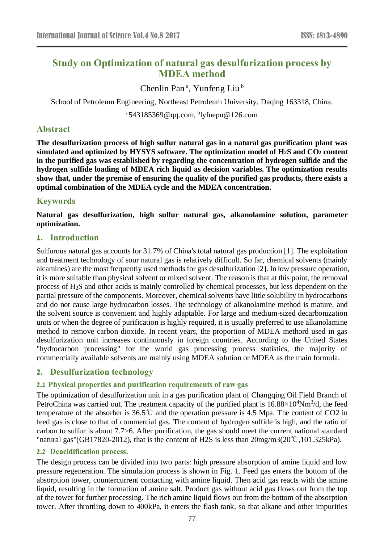# **Study on Optimization of natural gas desulfurization process by MDEA method**

Chenlin Pan<sup>a</sup>, Yunfeng Liu<sup>b</sup>

School of Petroleum Engineering, Northeast Petroleum University, Daqing 163318, China.

<sup>a</sup>543185369@qq.com, <sup>b</sup>lyfnepu@126.com

### **Abstract**

**The desulfurization process of high sulfur natural gas in a natural gas purification plant was simulated and optimized by HYSYS software. The optimization model of H2S and CO<sup>2</sup> content in the purified gas was established by regarding the concentration of hydrogen sulfide and the hydrogen sulfide loading of MDEA rich liquid as decision variables. The optimization results show that, under the premise of ensuring the quality of the purified gas products, there exists a optimal combination of the MDEA cycle and the MDEA concentration.**

### **Keywords**

**Natural gas desulfurization, high sulfur natural gas, alkanolamine solution, parameter optimization.**

### **1. Introduction**

Sulfurous natural gas accounts for 31.7% of China's total natural gas production [1]. The exploitation and treatment technology of sour natural gas is relatively difficult. So far, chemical solvents (mainly alcamines) are the most frequently used methods for gas desulfurization [2]. In low pressure operation, it is more suitable than physical solvent or mixed solvent. The reason is that at this point, the removal process of H2S and other acids is mainly controlled by chemical processes, but less dependent on the partial pressure of the components. Moreover, chemical solvents have little solubility in hydrocarbons and do not cause large hydrocarbon losses. The technology of alkanolamine method is mature, and the solvent source is convenient and highly adaptable. For large and medium-sized decarbonization units or when the degree of purification is highly required, it is usually preferred to use alkanolamine method to remove carbon dioxide. In recent years, the proportion of MDEA methord used in gas desulfurization unit increases continuously in foreign countries. According to the United States "hydrocarbon processing" for the world gas processing process statistics, the majority of commercially available solvents are mainly using MDEA solution or MDEA as the main formula.

## **2. Desulfurization technology**

### **2.1 Physical properties and purification requirements of raw gas**

The optimization of desulfurization unit in a gas purification plant of Changqing Oil Field Branch of PetroChina was carried out. The treatment capacity of the purified plant is  $16.88 \times 10^4$ Nm<sup>3</sup>/d, the feed temperature of the absorber is 36.5℃ and the operation pressure is 4.5 Mpa. The content of CO2 in feed gas is close to that of commercial gas. The content of hydrogen sulfide is high, and the ratio of carbon to sulfur is about 7.7>6. After purification, the gas should meet the current national standard "natural gas"(GB17820-2012), that is the content of H2S is less than 20mg/m3(20℃,101.325kPa).

#### **2.2 Deacidification process.**

The design process can be divided into two parts: high pressure absorption of amine liquid and low pressure regeneration. The simulation process is shown in Fig. 1. Feed gas enters the bottom of the absorption tower, countercurrent contacting with amine liquid. Then acid gas reacts with the amine liquid, resulting in the formation of amine salt. Product gas without acid gas flows out from the top of the tower for further processing. The rich amine liquid flows out from the bottom of the absorption tower. After throttling down to 400kPa, it enters the flash tank, so that alkane and other impurities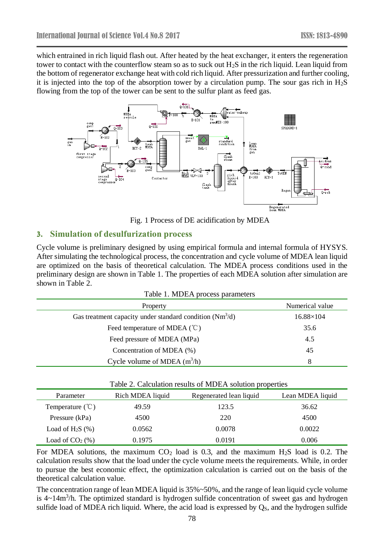which entrained in rich liquid flash out. After heated by the heat exchanger, it enters the regeneration tower to contact with the counterflow steam so as to suck out  $H_2S$  in the rich liquid. Lean liquid from the bottom of regenerator exchange heat with cold rich liquid. After pressurization and further cooling, it is injected into the top of the absorption tower by a circulation pump. The sour gas rich in  $H_2S$ flowing from the top of the tower can be sent to the sulfur plant as feed gas.



Fig. 1 Process of DE acidification by MDEA

### **3. Simulation of desulfurization process**

Cycle volume is preliminary designed by using empirical formula and internal formula of HYSYS. After simulating the technological process, the concentration and cycle volume of MDEA lean liquid are optimized on the basis of theoretical calculation. The MDEA process conditions used in the preliminary design are shown in Table 1. The properties of each MDEA solution after simulation are shown in Table 2.

| Table 1. MDEA process parameters |  |  |
|----------------------------------|--|--|
|----------------------------------|--|--|

| Property                                                   | Numerical value  |
|------------------------------------------------------------|------------------|
| Gas treatment capacity under standard condition $(Nm^3/d)$ | $16.88\times104$ |
| Feed temperature of MDEA $(^{\circ}\mathbb{C})$            | 35.6             |
| Feed pressure of MDEA (MPa)                                | 4.5              |
| Concentration of MDEA (%)                                  | 45               |
| Cycle volume of MDEA $(m^3/h)$                             | 8                |

| Table 2. Calculation results of MDEA solution properties |                  |                         |                  |  |  |  |
|----------------------------------------------------------|------------------|-------------------------|------------------|--|--|--|
| Parameter                                                | Rich MDEA liquid | Regenerated lean liquid | Lean MDEA liquid |  |  |  |
| Temperature $(\mathcal{C})$                              | 49.59            | 123.5                   | 36.62            |  |  |  |
| Pressure (kPa)                                           | 4500             | 220                     | 4500             |  |  |  |
| Load of H <sub>2</sub> S $(\% )$                         | 0.0562           | 0.0078                  | 0.0022           |  |  |  |
| Load of $CO2(\%)$                                        | 0.1975           | 0.0191                  | 0.006            |  |  |  |

For MDEA solutions, the maximum  $CO<sub>2</sub>$  load is 0.3, and the maximum H<sub>2</sub>S load is 0.2. The calculation results show that the load under the cycle volume meets the requirements. While, in order to pursue the best economic effect, the optimization calculation is carried out on the basis of the theoretical calculation value.

The concentration range of lean MDEA liquid is 35%~50%, and the range of lean liquid cycle volume is  $4{\sim}14\,\text{m}^3/\text{h}$ . The optimized standard is hydrogen sulfide concentration of sweet gas and hydrogen sulfide load of MDEA rich liquid. Where, the acid load is expressed by  $Q_s$ , and the hydrogen sulfide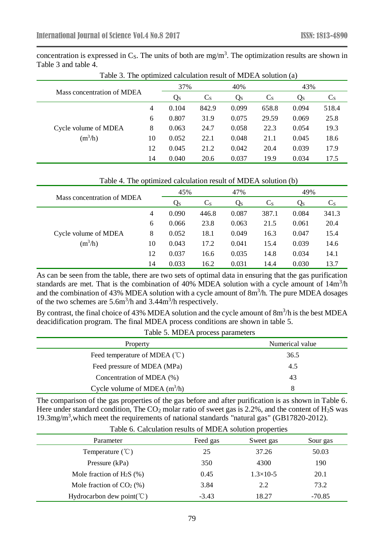concentration is expressed in  $C_s$ . The units of both are mg/m<sup>3</sup>. The optimization results are shown in Table 3 and table 4.

| Mass concentration of MDEA |                | 37%   |         | 40%     |         | 43%   |         |
|----------------------------|----------------|-------|---------|---------|---------|-------|---------|
|                            |                | Qs    | $C_{S}$ | $Q_{S}$ | $C_{S}$ | Qs    | $C_{S}$ |
|                            | $\overline{4}$ | 0.104 | 842.9   | 0.099   | 658.8   | 0.094 | 518.4   |
|                            | 6              | 0.807 | 31.9    | 0.075   | 29.59   | 0.069 | 25.8    |
| Cycle volume of MDEA       | 8              | 0.063 | 24.7    | 0.058   | 22.3    | 0.054 | 19.3    |
| $(m^3/h)$                  | 10             | 0.052 | 22.1    | 0.048   | 21.1    | 0.045 | 18.6    |
|                            | 12             | 0.045 | 21.2    | 0.042   | 20.4    | 0.039 | 17.9    |
|                            | 14             | 0.040 | 20.6    | 0.037   | 19.9    | 0.034 | 17.5    |

Table 3. The optimized calculation result of MDEA solution (a)

#### Table 4. The optimized calculation result of MDEA solution (b)

| Mass concentration of MDEA |                | 45%   |         | 47%     |         | 49%   |         |
|----------------------------|----------------|-------|---------|---------|---------|-------|---------|
|                            |                | Qs    | $C_{S}$ | $Q_{S}$ | $C_{S}$ | Qs    | $C_{S}$ |
|                            | $\overline{4}$ | 0.090 | 446.8   | 0.087   | 387.1   | 0.084 | 341.3   |
|                            | 6              | 0.066 | 23.8    | 0.063   | 21.5    | 0.061 | 20.4    |
| Cycle volume of MDEA       | 8              | 0.052 | 18.1    | 0.049   | 16.3    | 0.047 | 15.4    |
| $(m^3/h)$                  | 10             | 0.043 | 17.2    | 0.041   | 15.4    | 0.039 | 14.6    |
|                            | 12             | 0.037 | 16.6    | 0.035   | 14.8    | 0.034 | 14.1    |
|                            | 14             | 0.033 | 16.2    | 0.031   | 14.4    | 0.030 | 13.7    |

As can be seen from the table, there are two sets of optimal data in ensuring that the gas purification standards are met. That is the combination of 40% MDEA solution with a cycle amount of 14m<sup>3</sup>/h and the combination of 43% MDEA solution with a cycle amount of  $8m<sup>3</sup>/h$ . The pure MDEA dosages of the two schemes are  $5.6m<sup>3</sup>/h$  and  $3.44m<sup>3</sup>/h$  respectively.

By contrast, the final choice of 43% MDEA solution and the cycle amount of  $8m^3/h$  is the best MDEA deacidification program. The final MDEA process conditions are shown in table 5.

| Table 5. MDEA process parameters                |                 |  |  |  |
|-------------------------------------------------|-----------------|--|--|--|
| Property                                        | Numerical value |  |  |  |
| Feed temperature of MDEA $(^{\circ}\mathbb{C})$ | 36.5            |  |  |  |
| Feed pressure of MDEA (MPa)                     | 4.5             |  |  |  |
| Concentration of MDEA (%)                       | 43              |  |  |  |
| Cycle volume of MDEA $(m^3/h)$                  | 8               |  |  |  |

The comparison of the gas properties of the gas before and after purification is as shown in Table 6. Here under standard condition, The  $CO_2$  molar ratio of sweet gas is 2.2%, and the content of H<sub>2</sub>S was 19.3mg/m<sup>3</sup>, which meet the requirements of national standards "natural gas" (GB17820-2012).

| Table 6. Calculation results of MDEA solution properties |          |                   |          |  |  |
|----------------------------------------------------------|----------|-------------------|----------|--|--|
| Parameter                                                | Feed gas | Sweet gas         | Sour gas |  |  |
| Temperature $(\mathcal{C})$                              | 25       | 37.26             | 50.03    |  |  |
| Pressure (kPa)                                           | 350      | 4300              | 190      |  |  |
| Mole fraction of H <sub>2</sub> S $(\%)$                 | 0.45     | $1.3 \times 10-5$ | 20.1     |  |  |
| Mole fraction of $CO2(\%)$                               | 3.84     | 2.2               | 73.2     |  |  |
| Hydrocarbon dew point( $^{\circ}$ C)                     | $-3.43$  | 18.27             | $-70.85$ |  |  |